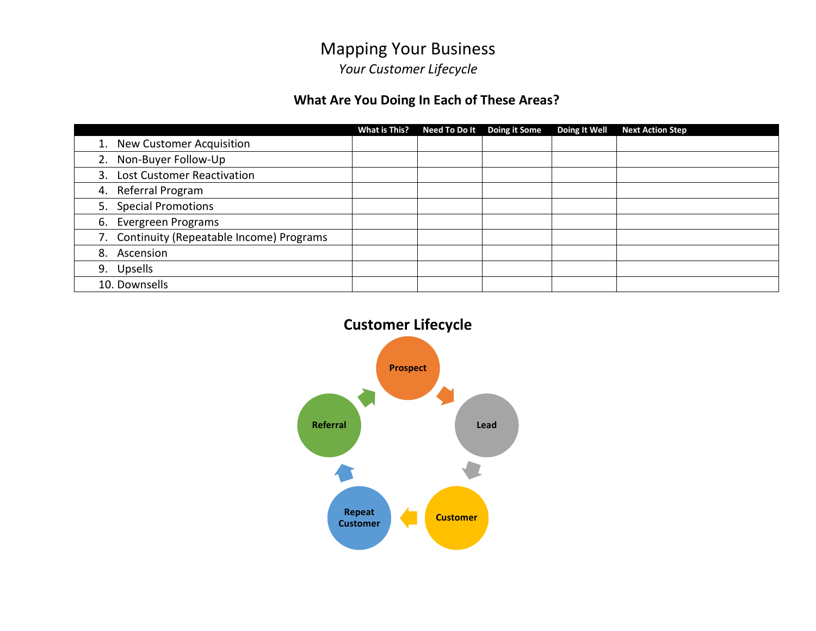#### **What Are You Doing In Each of These Areas?**

|    |                                            | What is This? | Need To Do It Doing it Some | Doing It Well | <b>Next Action Step</b> |
|----|--------------------------------------------|---------------|-----------------------------|---------------|-------------------------|
| 1. | <b>New Customer Acquisition</b>            |               |                             |               |                         |
| 2. | Non-Buyer Follow-Up                        |               |                             |               |                         |
|    | 3. Lost Customer Reactivation              |               |                             |               |                         |
|    | 4. Referral Program                        |               |                             |               |                         |
|    | 5. Special Promotions                      |               |                             |               |                         |
|    | 6. Evergreen Programs                      |               |                             |               |                         |
|    | 7. Continuity (Repeatable Income) Programs |               |                             |               |                         |
|    | 8. Ascension                               |               |                             |               |                         |
|    | 9. Upsells                                 |               |                             |               |                         |
|    | 10. Downsells                              |               |                             |               |                         |

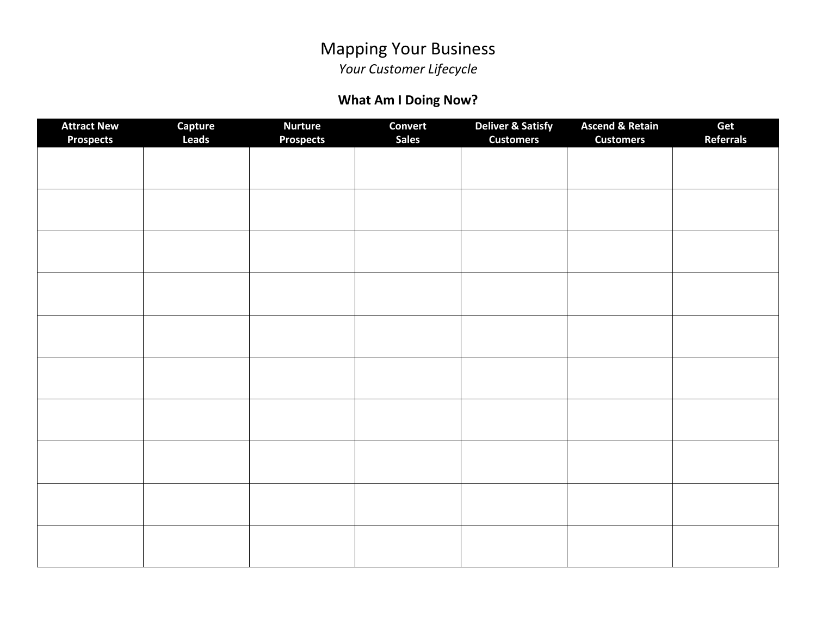# Mapping Your Business

*Your Customer Lifecycle*

### **What Am I Doing Now?**

| <b>Attract New</b><br><b>Prospects</b> | Capture<br><b>Leads</b> | <b>Nurture</b><br><b>Prospects</b> | <b>Convert</b><br><b>Sales</b> | <b>Deliver &amp; Satisfy</b><br><b>Customers</b> | <b>Ascend &amp; Retain</b><br><b>Customers</b> | Get<br><b>Referrals</b> |
|----------------------------------------|-------------------------|------------------------------------|--------------------------------|--------------------------------------------------|------------------------------------------------|-------------------------|
|                                        |                         |                                    |                                |                                                  |                                                |                         |
|                                        |                         |                                    |                                |                                                  |                                                |                         |
|                                        |                         |                                    |                                |                                                  |                                                |                         |
|                                        |                         |                                    |                                |                                                  |                                                |                         |
|                                        |                         |                                    |                                |                                                  |                                                |                         |
|                                        |                         |                                    |                                |                                                  |                                                |                         |
|                                        |                         |                                    |                                |                                                  |                                                |                         |
|                                        |                         |                                    |                                |                                                  |                                                |                         |
|                                        |                         |                                    |                                |                                                  |                                                |                         |
|                                        |                         |                                    |                                |                                                  |                                                |                         |
|                                        |                         |                                    |                                |                                                  |                                                |                         |
|                                        |                         |                                    |                                |                                                  |                                                |                         |
|                                        |                         |                                    |                                |                                                  |                                                |                         |
|                                        |                         |                                    |                                |                                                  |                                                |                         |
|                                        |                         |                                    |                                |                                                  |                                                |                         |
|                                        |                         |                                    |                                |                                                  |                                                |                         |
|                                        |                         |                                    |                                |                                                  |                                                |                         |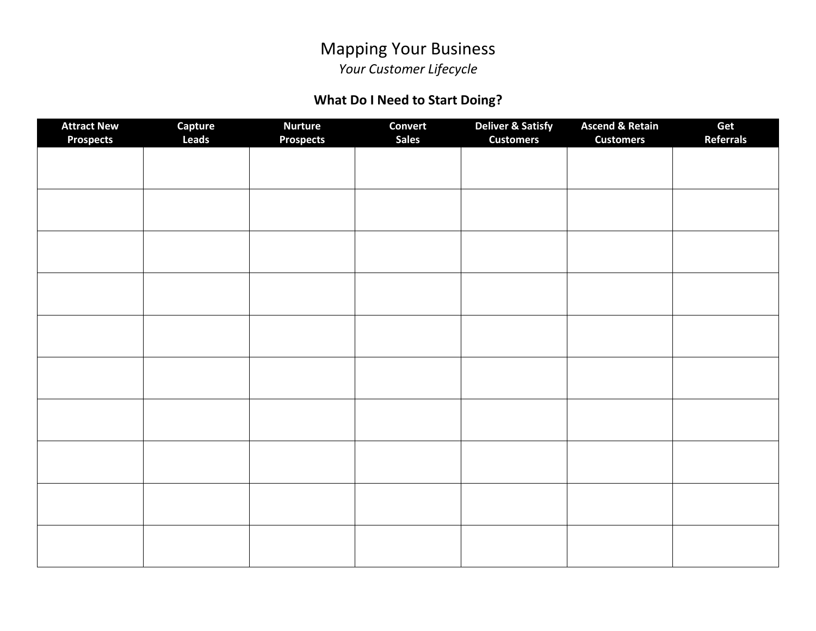## Mapping Your Business

*Your Customer Lifecycle*

### **What Do I Need to Start Doing?**

| <b>Attract New</b><br><b>Prospects</b> | Capture<br>Leads | <b>Nurture</b><br><b>Prospects</b> | <b>Convert</b><br><b>Sales</b> | <b>Deliver &amp; Satisfy</b><br><b>Customers</b> | <b>Ascend &amp; Retain</b><br><b>Customers</b> | Get<br><b>Referrals</b> |
|----------------------------------------|------------------|------------------------------------|--------------------------------|--------------------------------------------------|------------------------------------------------|-------------------------|
|                                        |                  |                                    |                                |                                                  |                                                |                         |
|                                        |                  |                                    |                                |                                                  |                                                |                         |
|                                        |                  |                                    |                                |                                                  |                                                |                         |
|                                        |                  |                                    |                                |                                                  |                                                |                         |
|                                        |                  |                                    |                                |                                                  |                                                |                         |
|                                        |                  |                                    |                                |                                                  |                                                |                         |
|                                        |                  |                                    |                                |                                                  |                                                |                         |
|                                        |                  |                                    |                                |                                                  |                                                |                         |
|                                        |                  |                                    |                                |                                                  |                                                |                         |
|                                        |                  |                                    |                                |                                                  |                                                |                         |
|                                        |                  |                                    |                                |                                                  |                                                |                         |
|                                        |                  |                                    |                                |                                                  |                                                |                         |
|                                        |                  |                                    |                                |                                                  |                                                |                         |
|                                        |                  |                                    |                                |                                                  |                                                |                         |
|                                        |                  |                                    |                                |                                                  |                                                |                         |
|                                        |                  |                                    |                                |                                                  |                                                |                         |
|                                        |                  |                                    |                                |                                                  |                                                |                         |
|                                        |                  |                                    |                                |                                                  |                                                |                         |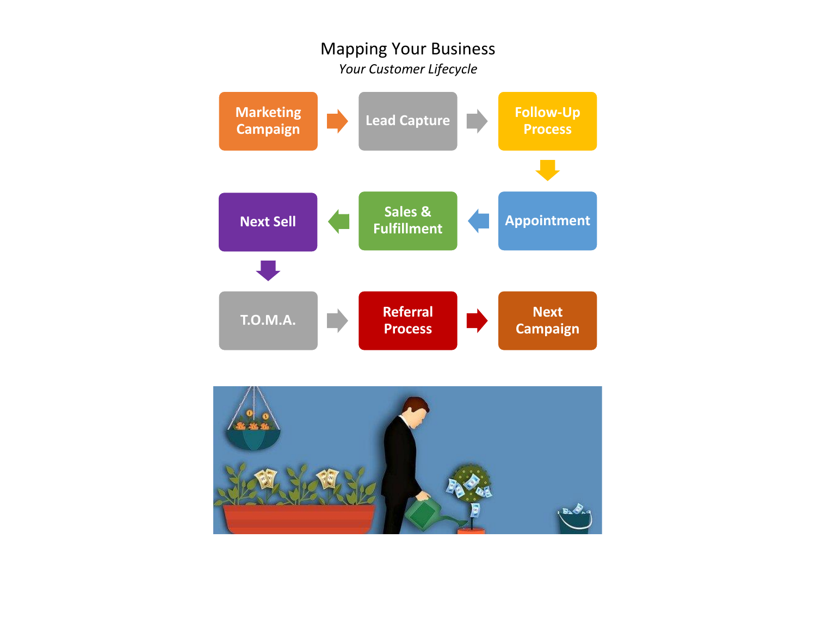

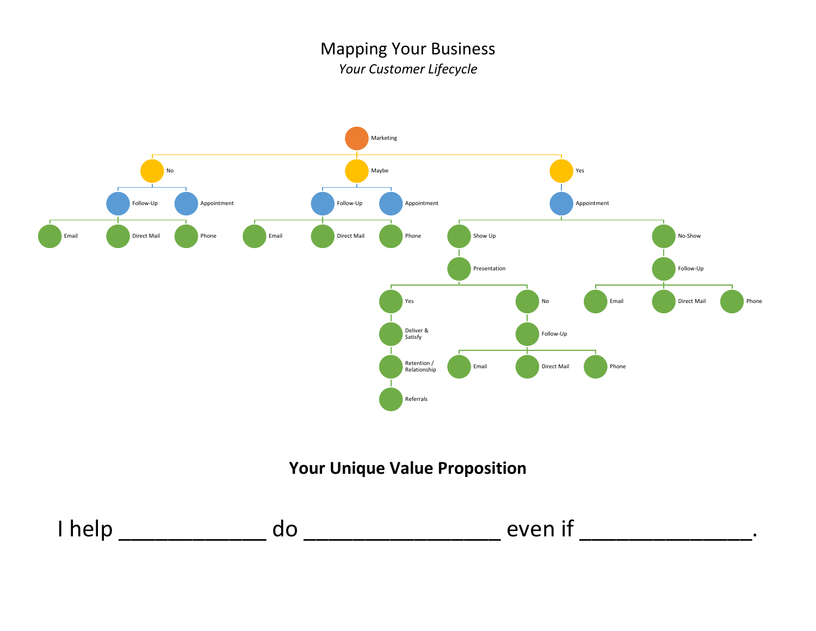

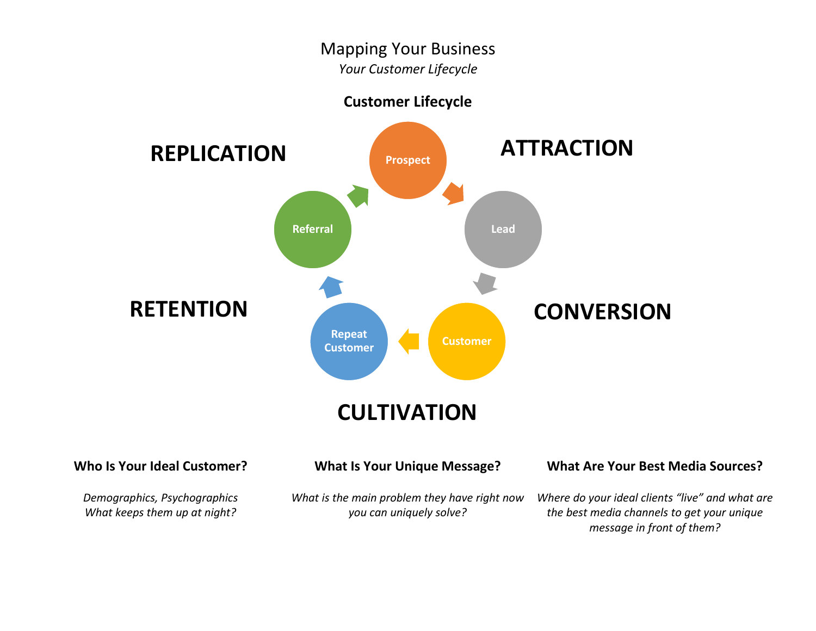# Mapping Your Business

*Your Customer Lifecycle*

**Customer Lifecycle**